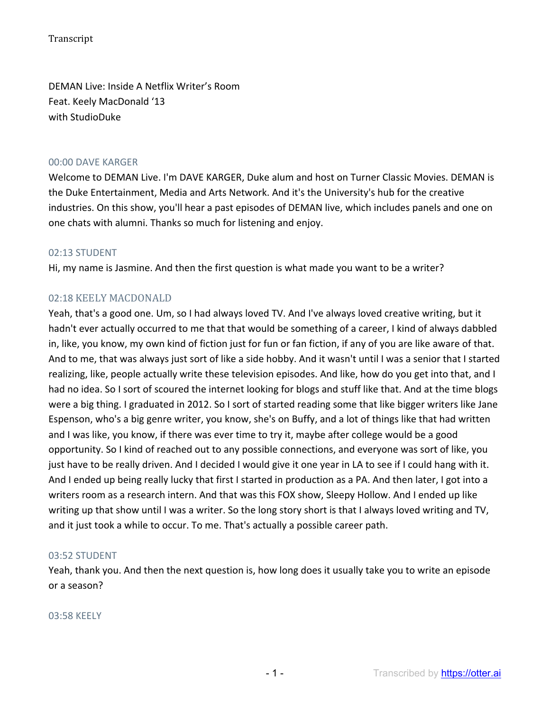DEMAN Live: Inside A Netflix Writer's Room Feat. Keely MacDonald '13 with StudioDuke

#### 00:00 DAVE KARGER

Welcome to DEMAN Live. I'm DAVE KARGER, Duke alum and host on Turner Classic Movies. DEMAN is the Duke Entertainment, Media and Arts Network. And it's the University's hub for the creative industries. On this show, you'll hear a past episodes of DEMAN live, which includes panels and one on one chats with alumni. Thanks so much for listening and enjoy.

#### 02:13 STUDENT

Hi, my name is Jasmine. And then the first question is what made you want to be a writer?

# 02:18 KEELY MACDONALD

Yeah, that's a good one. Um, so I had always loved TV. And I've always loved creative writing, but it hadn't ever actually occurred to me that that would be something of a career, I kind of always dabbled in, like, you know, my own kind of fiction just for fun or fan fiction, if any of you are like aware of that. And to me, that was always just sort of like a side hobby. And it wasn't until I was a senior that I started realizing, like, people actually write these television episodes. And like, how do you get into that, and I had no idea. So I sort of scoured the internet looking for blogs and stuff like that. And at the time blogs were a big thing. I graduated in 2012. So I sort of started reading some that like bigger writers like Jane Espenson, who's a big genre writer, you know, she's on Buffy, and a lot of things like that had written and I was like, you know, if there was ever time to try it, maybe after college would be a good opportunity. So I kind of reached out to any possible connections, and everyone was sort of like, you just have to be really driven. And I decided I would give it one year in LA to see if I could hang with it. And I ended up being really lucky that first I started in production as a PA. And then later, I got into a writers room as a research intern. And that was this FOX show, Sleepy Hollow. And I ended up like writing up that show until I was a writer. So the long story short is that I always loved writing and TV, and it just took a while to occur. To me. That's actually a possible career path.

### 03:52 STUDENT

Yeah, thank you. And then the next question is, how long does it usually take you to write an episode or a season?

#### 03:58 KEELY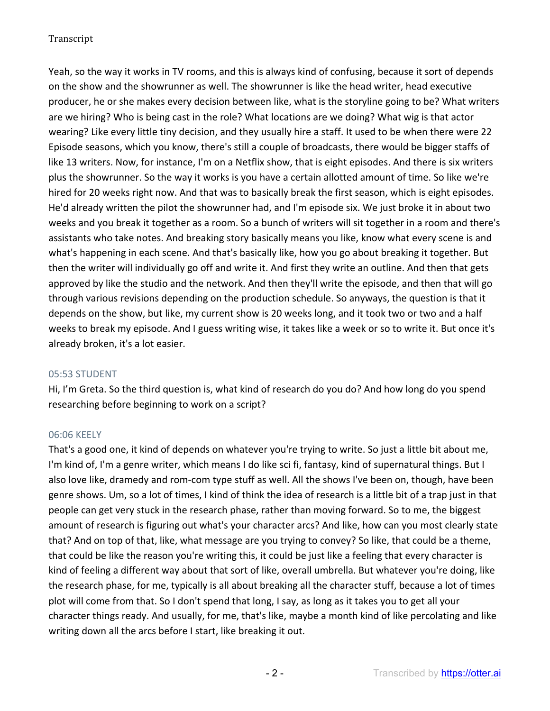Yeah, so the way it works in TV rooms, and this is always kind of confusing, because it sort of depends on the show and the showrunner as well. The showrunner is like the head writer, head executive producer, he or she makes every decision between like, what is the storyline going to be? What writers are we hiring? Who is being cast in the role? What locations are we doing? What wig is that actor wearing? Like every little tiny decision, and they usually hire a staff. It used to be when there were 22 Episode seasons, which you know, there's still a couple of broadcasts, there would be bigger staffs of like 13 writers. Now, for instance, I'm on a Netflix show, that is eight episodes. And there is six writers plus the showrunner. So the way it works is you have a certain allotted amount of time. So like we're hired for 20 weeks right now. And that was to basically break the first season, which is eight episodes. He'd already written the pilot the showrunner had, and I'm episode six. We just broke it in about two weeks and you break it together as a room. So a bunch of writers will sit together in a room and there's assistants who take notes. And breaking story basically means you like, know what every scene is and what's happening in each scene. And that's basically like, how you go about breaking it together. But then the writer will individually go off and write it. And first they write an outline. And then that gets approved by like the studio and the network. And then they'll write the episode, and then that will go through various revisions depending on the production schedule. So anyways, the question is that it depends on the show, but like, my current show is 20 weeks long, and it took two or two and a half weeks to break my episode. And I guess writing wise, it takes like a week or so to write it. But once it's already broken, it's a lot easier.

### 05:53 STUDENT

Hi, I'm Greta. So the third question is, what kind of research do you do? And how long do you spend researching before beginning to work on a script?

# 06:06 KEELY

That's a good one, it kind of depends on whatever you're trying to write. So just a little bit about me, I'm kind of, I'm a genre writer, which means I do like sci fi, fantasy, kind of supernatural things. But I also love like, dramedy and rom-com type stuff as well. All the shows I've been on, though, have been genre shows. Um, so a lot of times, I kind of think the idea of research is a little bit of a trap just in that people can get very stuck in the research phase, rather than moving forward. So to me, the biggest amount of research is figuring out what's your character arcs? And like, how can you most clearly state that? And on top of that, like, what message are you trying to convey? So like, that could be a theme, that could be like the reason you're writing this, it could be just like a feeling that every character is kind of feeling a different way about that sort of like, overall umbrella. But whatever you're doing, like the research phase, for me, typically is all about breaking all the character stuff, because a lot of times plot will come from that. So I don't spend that long, I say, as long as it takes you to get all your character things ready. And usually, for me, that's like, maybe a month kind of like percolating and like writing down all the arcs before I start, like breaking it out.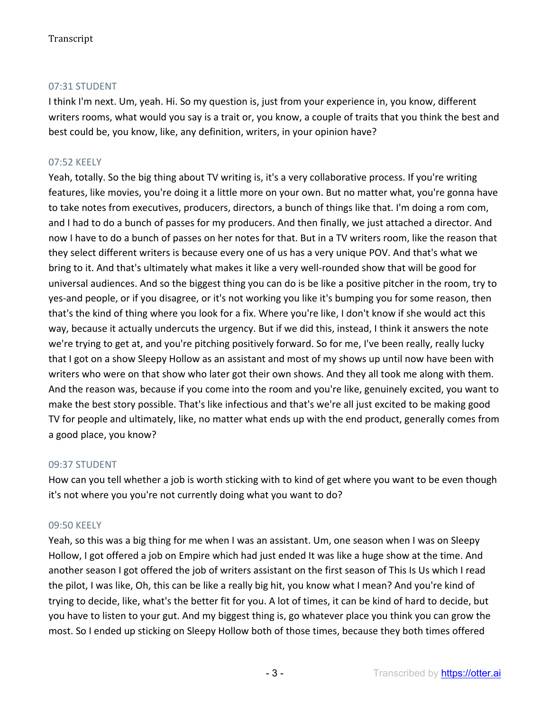# 07:31 STUDENT

I think I'm next. Um, yeah. Hi. So my question is, just from your experience in, you know, different writers rooms, what would you say is a trait or, you know, a couple of traits that you think the best and best could be, you know, like, any definition, writers, in your opinion have?

# 07:52 KEELY

Yeah, totally. So the big thing about TV writing is, it's a very collaborative process. If you're writing features, like movies, you're doing it a little more on your own. But no matter what, you're gonna have to take notes from executives, producers, directors, a bunch of things like that. I'm doing a rom com, and I had to do a bunch of passes for my producers. And then finally, we just attached a director. And now I have to do a bunch of passes on her notes for that. But in a TV writers room, like the reason that they select different writers is because every one of us has a very unique POV. And that's what we bring to it. And that's ultimately what makes it like a very well-rounded show that will be good for universal audiences. And so the biggest thing you can do is be like a positive pitcher in the room, try to yes-and people, or if you disagree, or it's not working you like it's bumping you for some reason, then that's the kind of thing where you look for a fix. Where you're like, I don't know if she would act this way, because it actually undercuts the urgency. But if we did this, instead, I think it answers the note we're trying to get at, and you're pitching positively forward. So for me, I've been really, really lucky that I got on a show Sleepy Hollow as an assistant and most of my shows up until now have been with writers who were on that show who later got their own shows. And they all took me along with them. And the reason was, because if you come into the room and you're like, genuinely excited, you want to make the best story possible. That's like infectious and that's we're all just excited to be making good TV for people and ultimately, like, no matter what ends up with the end product, generally comes from a good place, you know?

### 09:37 STUDENT

How can you tell whether a job is worth sticking with to kind of get where you want to be even though it's not where you you're not currently doing what you want to do?

# 09:50 KEELY

Yeah, so this was a big thing for me when I was an assistant. Um, one season when I was on Sleepy Hollow, I got offered a job on Empire which had just ended It was like a huge show at the time. And another season I got offered the job of writers assistant on the first season of This Is Us which I read the pilot, I was like, Oh, this can be like a really big hit, you know what I mean? And you're kind of trying to decide, like, what's the better fit for you. A lot of times, it can be kind of hard to decide, but you have to listen to your gut. And my biggest thing is, go whatever place you think you can grow the most. So I ended up sticking on Sleepy Hollow both of those times, because they both times offered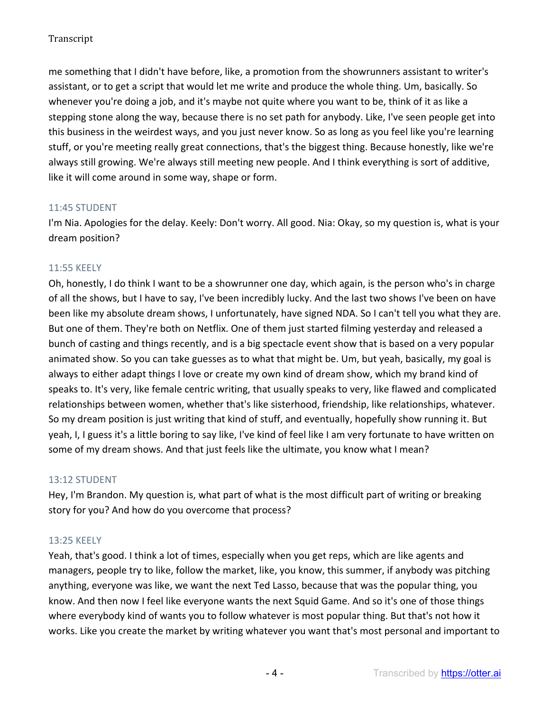me something that I didn't have before, like, a promotion from the showrunners assistant to writer's assistant, or to get a script that would let me write and produce the whole thing. Um, basically. So whenever you're doing a job, and it's maybe not quite where you want to be, think of it as like a stepping stone along the way, because there is no set path for anybody. Like, I've seen people get into this business in the weirdest ways, and you just never know. So as long as you feel like you're learning stuff, or you're meeting really great connections, that's the biggest thing. Because honestly, like we're always still growing. We're always still meeting new people. And I think everything is sort of additive, like it will come around in some way, shape or form.

# 11:45 STUDENT

I'm Nia. Apologies for the delay. Keely: Don't worry. All good. Nia: Okay, so my question is, what is your dream position?

### 11:55 KEELY

Oh, honestly, I do think I want to be a showrunner one day, which again, is the person who's in charge of all the shows, but I have to say, I've been incredibly lucky. And the last two shows I've been on have been like my absolute dream shows, I unfortunately, have signed NDA. So I can't tell you what they are. But one of them. They're both on Netflix. One of them just started filming yesterday and released a bunch of casting and things recently, and is a big spectacle event show that is based on a very popular animated show. So you can take guesses as to what that might be. Um, but yeah, basically, my goal is always to either adapt things I love or create my own kind of dream show, which my brand kind of speaks to. It's very, like female centric writing, that usually speaks to very, like flawed and complicated relationships between women, whether that's like sisterhood, friendship, like relationships, whatever. So my dream position is just writing that kind of stuff, and eventually, hopefully show running it. But yeah, I, I guess it's a little boring to say like, I've kind of feel like I am very fortunate to have written on some of my dream shows. And that just feels like the ultimate, you know what I mean?

### 13:12 STUDENT

Hey, I'm Brandon. My question is, what part of what is the most difficult part of writing or breaking story for you? And how do you overcome that process?

### 13:25 KEELY

Yeah, that's good. I think a lot of times, especially when you get reps, which are like agents and managers, people try to like, follow the market, like, you know, this summer, if anybody was pitching anything, everyone was like, we want the next Ted Lasso, because that was the popular thing, you know. And then now I feel like everyone wants the next Squid Game. And so it's one of those things where everybody kind of wants you to follow whatever is most popular thing. But that's not how it works. Like you create the market by writing whatever you want that's most personal and important to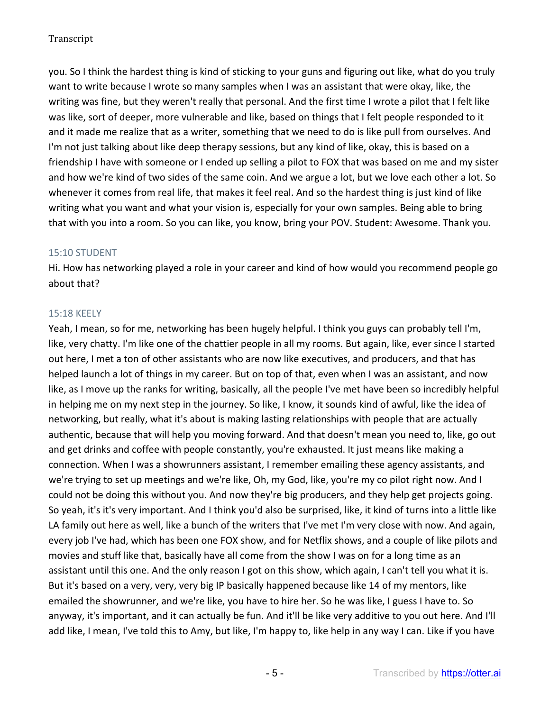you. So I think the hardest thing is kind of sticking to your guns and figuring out like, what do you truly want to write because I wrote so many samples when I was an assistant that were okay, like, the writing was fine, but they weren't really that personal. And the first time I wrote a pilot that I felt like was like, sort of deeper, more vulnerable and like, based on things that I felt people responded to it and it made me realize that as a writer, something that we need to do is like pull from ourselves. And I'm not just talking about like deep therapy sessions, but any kind of like, okay, this is based on a friendship I have with someone or I ended up selling a pilot to FOX that was based on me and my sister and how we're kind of two sides of the same coin. And we argue a lot, but we love each other a lot. So whenever it comes from real life, that makes it feel real. And so the hardest thing is just kind of like writing what you want and what your vision is, especially for your own samples. Being able to bring that with you into a room. So you can like, you know, bring your POV. Student: Awesome. Thank you.

### 15:10 STUDENT

Hi. How has networking played a role in your career and kind of how would you recommend people go about that?

### 15:18 KEELY

Yeah, I mean, so for me, networking has been hugely helpful. I think you guys can probably tell I'm, like, very chatty. I'm like one of the chattier people in all my rooms. But again, like, ever since I started out here, I met a ton of other assistants who are now like executives, and producers, and that has helped launch a lot of things in my career. But on top of that, even when I was an assistant, and now like, as I move up the ranks for writing, basically, all the people I've met have been so incredibly helpful in helping me on my next step in the journey. So like, I know, it sounds kind of awful, like the idea of networking, but really, what it's about is making lasting relationships with people that are actually authentic, because that will help you moving forward. And that doesn't mean you need to, like, go out and get drinks and coffee with people constantly, you're exhausted. It just means like making a connection. When I was a showrunners assistant, I remember emailing these agency assistants, and we're trying to set up meetings and we're like, Oh, my God, like, you're my co pilot right now. And I could not be doing this without you. And now they're big producers, and they help get projects going. So yeah, it's it's very important. And I think you'd also be surprised, like, it kind of turns into a little like LA family out here as well, like a bunch of the writers that I've met I'm very close with now. And again, every job I've had, which has been one FOX show, and for Netflix shows, and a couple of like pilots and movies and stuff like that, basically have all come from the show I was on for a long time as an assistant until this one. And the only reason I got on this show, which again, I can't tell you what it is. But it's based on a very, very, very big IP basically happened because like 14 of my mentors, like emailed the showrunner, and we're like, you have to hire her. So he was like, I guess I have to. So anyway, it's important, and it can actually be fun. And it'll be like very additive to you out here. And I'll add like, I mean, I've told this to Amy, but like, I'm happy to, like help in any way I can. Like if you have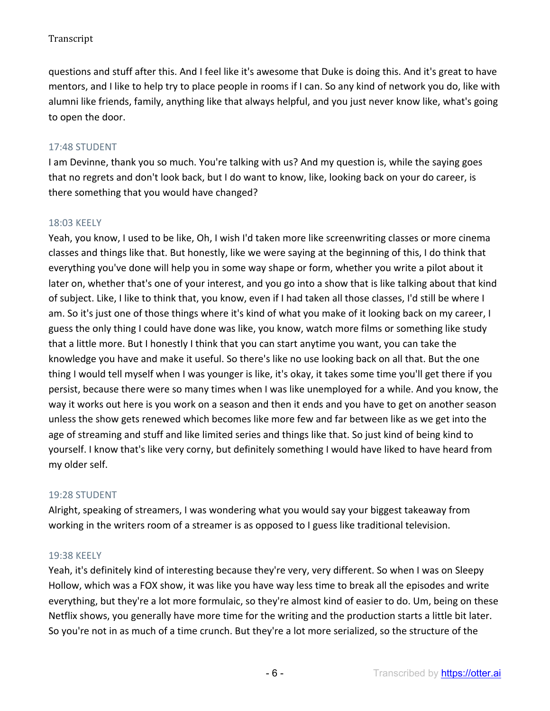questions and stuff after this. And I feel like it's awesome that Duke is doing this. And it's great to have mentors, and I like to help try to place people in rooms if I can. So any kind of network you do, like with alumni like friends, family, anything like that always helpful, and you just never know like, what's going to open the door.

# 17:48 STUDENT

I am Devinne, thank you so much. You're talking with us? And my question is, while the saying goes that no regrets and don't look back, but I do want to know, like, looking back on your do career, is there something that you would have changed?

# 18:03 KEELY

Yeah, you know, I used to be like, Oh, I wish I'd taken more like screenwriting classes or more cinema classes and things like that. But honestly, like we were saying at the beginning of this, I do think that everything you've done will help you in some way shape or form, whether you write a pilot about it later on, whether that's one of your interest, and you go into a show that is like talking about that kind of subject. Like, I like to think that, you know, even if I had taken all those classes, I'd still be where I am. So it's just one of those things where it's kind of what you make of it looking back on my career, I guess the only thing I could have done was like, you know, watch more films or something like study that a little more. But I honestly I think that you can start anytime you want, you can take the knowledge you have and make it useful. So there's like no use looking back on all that. But the one thing I would tell myself when I was younger is like, it's okay, it takes some time you'll get there if you persist, because there were so many times when I was like unemployed for a while. And you know, the way it works out here is you work on a season and then it ends and you have to get on another season unless the show gets renewed which becomes like more few and far between like as we get into the age of streaming and stuff and like limited series and things like that. So just kind of being kind to yourself. I know that's like very corny, but definitely something I would have liked to have heard from my older self.

### 19:28 STUDENT

Alright, speaking of streamers, I was wondering what you would say your biggest takeaway from working in the writers room of a streamer is as opposed to I guess like traditional television.

### 19:38 KEELY

Yeah, it's definitely kind of interesting because they're very, very different. So when I was on Sleepy Hollow, which was a FOX show, it was like you have way less time to break all the episodes and write everything, but they're a lot more formulaic, so they're almost kind of easier to do. Um, being on these Netflix shows, you generally have more time for the writing and the production starts a little bit later. So you're not in as much of a time crunch. But they're a lot more serialized, so the structure of the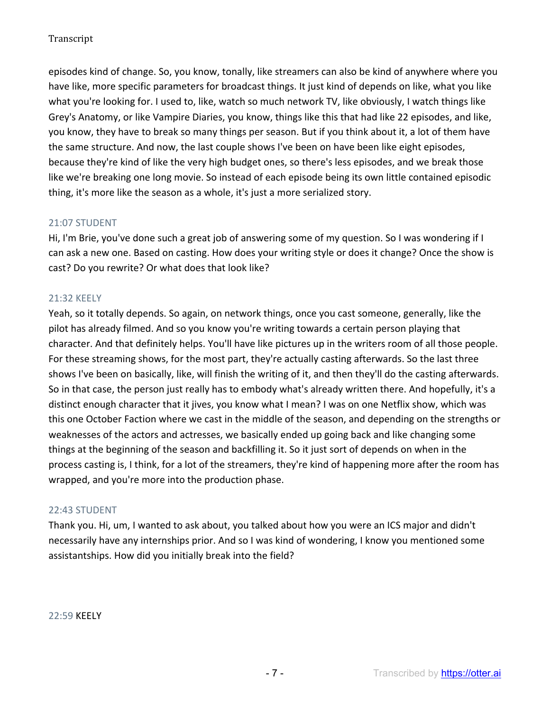episodes kind of change. So, you know, tonally, like streamers can also be kind of anywhere where you have like, more specific parameters for broadcast things. It just kind of depends on like, what you like what you're looking for. I used to, like, watch so much network TV, like obviously, I watch things like Grey's Anatomy, or like Vampire Diaries, you know, things like this that had like 22 episodes, and like, you know, they have to break so many things per season. But if you think about it, a lot of them have the same structure. And now, the last couple shows I've been on have been like eight episodes, because they're kind of like the very high budget ones, so there's less episodes, and we break those like we're breaking one long movie. So instead of each episode being its own little contained episodic thing, it's more like the season as a whole, it's just a more serialized story.

# 21:07 STUDENT

Hi, I'm Brie, you've done such a great job of answering some of my question. So I was wondering if I can ask a new one. Based on casting. How does your writing style or does it change? Once the show is cast? Do you rewrite? Or what does that look like?

# 21:32 KEELY

Yeah, so it totally depends. So again, on network things, once you cast someone, generally, like the pilot has already filmed. And so you know you're writing towards a certain person playing that character. And that definitely helps. You'll have like pictures up in the writers room of all those people. For these streaming shows, for the most part, they're actually casting afterwards. So the last three shows I've been on basically, like, will finish the writing of it, and then they'll do the casting afterwards. So in that case, the person just really has to embody what's already written there. And hopefully, it's a distinct enough character that it jives, you know what I mean? I was on one Netflix show, which was this one October Faction where we cast in the middle of the season, and depending on the strengths or weaknesses of the actors and actresses, we basically ended up going back and like changing some things at the beginning of the season and backfilling it. So it just sort of depends on when in the process casting is, I think, for a lot of the streamers, they're kind of happening more after the room has wrapped, and you're more into the production phase.

### 22:43 STUDENT

Thank you. Hi, um, I wanted to ask about, you talked about how you were an ICS major and didn't necessarily have any internships prior. And so I was kind of wondering, I know you mentioned some assistantships. How did you initially break into the field?

22:59 KEELY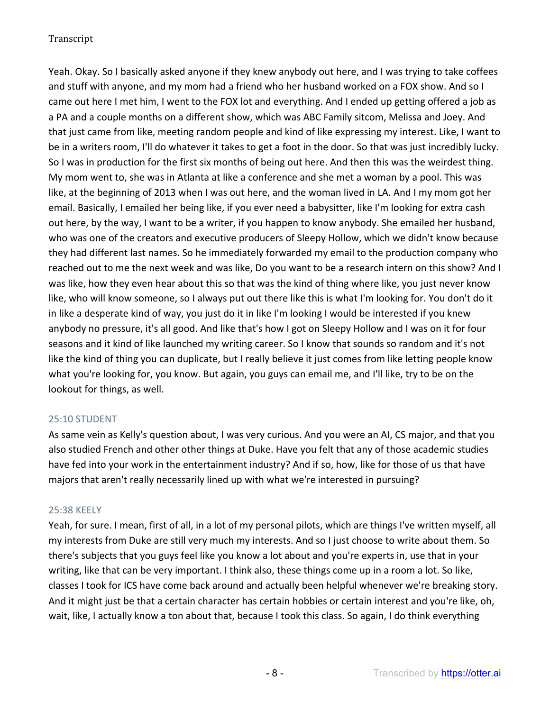Yeah. Okay. So I basically asked anyone if they knew anybody out here, and I was trying to take coffees and stuff with anyone, and my mom had a friend who her husband worked on a FOX show. And so I came out here I met him, I went to the FOX lot and everything. And I ended up getting offered a job as a PA and a couple months on a different show, which was ABC Family sitcom, Melissa and Joey. And that just came from like, meeting random people and kind of like expressing my interest. Like, I want to be in a writers room, I'll do whatever it takes to get a foot in the door. So that was just incredibly lucky. So I was in production for the first six months of being out here. And then this was the weirdest thing. My mom went to, she was in Atlanta at like a conference and she met a woman by a pool. This was like, at the beginning of 2013 when I was out here, and the woman lived in LA. And I my mom got her email. Basically, I emailed her being like, if you ever need a babysitter, like I'm looking for extra cash out here, by the way, I want to be a writer, if you happen to know anybody. She emailed her husband, who was one of the creators and executive producers of Sleepy Hollow, which we didn't know because they had different last names. So he immediately forwarded my email to the production company who reached out to me the next week and was like, Do you want to be a research intern on this show? And I was like, how they even hear about this so that was the kind of thing where like, you just never know like, who will know someone, so I always put out there like this is what I'm looking for. You don't do it in like a desperate kind of way, you just do it in like I'm looking I would be interested if you knew anybody no pressure, it's all good. And like that's how I got on Sleepy Hollow and I was on it for four seasons and it kind of like launched my writing career. So I know that sounds so random and it's not like the kind of thing you can duplicate, but I really believe it just comes from like letting people know what you're looking for, you know. But again, you guys can email me, and I'll like, try to be on the lookout for things, as well.

# 25:10 STUDENT

As same vein as Kelly's question about, I was very curious. And you were an AI, CS major, and that you also studied French and other other things at Duke. Have you felt that any of those academic studies have fed into your work in the entertainment industry? And if so, how, like for those of us that have majors that aren't really necessarily lined up with what we're interested in pursuing?

### 25:38 KEELY

Yeah, for sure. I mean, first of all, in a lot of my personal pilots, which are things I've written myself, all my interests from Duke are still very much my interests. And so I just choose to write about them. So there's subjects that you guys feel like you know a lot about and you're experts in, use that in your writing, like that can be very important. I think also, these things come up in a room a lot. So like, classes I took for ICS have come back around and actually been helpful whenever we're breaking story. And it might just be that a certain character has certain hobbies or certain interest and you're like, oh, wait, like, I actually know a ton about that, because I took this class. So again, I do think everything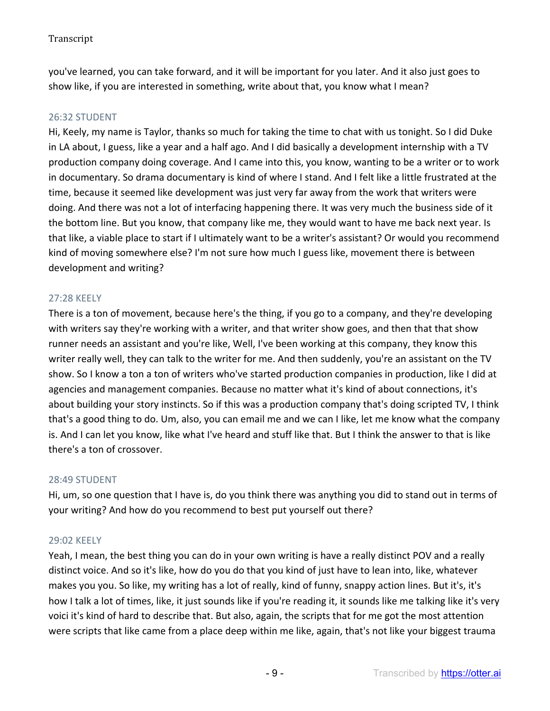you've learned, you can take forward, and it will be important for you later. And it also just goes to show like, if you are interested in something, write about that, you know what I mean?

### 26:32 STUDENT

Hi, Keely, my name is Taylor, thanks so much for taking the time to chat with us tonight. So I did Duke in LA about, I guess, like a year and a half ago. And I did basically a development internship with a TV production company doing coverage. And I came into this, you know, wanting to be a writer or to work in documentary. So drama documentary is kind of where I stand. And I felt like a little frustrated at the time, because it seemed like development was just very far away from the work that writers were doing. And there was not a lot of interfacing happening there. It was very much the business side of it the bottom line. But you know, that company like me, they would want to have me back next year. Is that like, a viable place to start if I ultimately want to be a writer's assistant? Or would you recommend kind of moving somewhere else? I'm not sure how much I guess like, movement there is between development and writing?

### 27:28 KEELY

There is a ton of movement, because here's the thing, if you go to a company, and they're developing with writers say they're working with a writer, and that writer show goes, and then that that show runner needs an assistant and you're like, Well, I've been working at this company, they know this writer really well, they can talk to the writer for me. And then suddenly, you're an assistant on the TV show. So I know a ton a ton of writers who've started production companies in production, like I did at agencies and management companies. Because no matter what it's kind of about connections, it's about building your story instincts. So if this was a production company that's doing scripted TV, I think that's a good thing to do. Um, also, you can email me and we can I like, let me know what the company is. And I can let you know, like what I've heard and stuff like that. But I think the answer to that is like there's a ton of crossover.

### 28:49 STUDENT

Hi, um, so one question that I have is, do you think there was anything you did to stand out in terms of your writing? And how do you recommend to best put yourself out there?

### 29:02 KEELY

Yeah, I mean, the best thing you can do in your own writing is have a really distinct POV and a really distinct voice. And so it's like, how do you do that you kind of just have to lean into, like, whatever makes you you. So like, my writing has a lot of really, kind of funny, snappy action lines. But it's, it's how I talk a lot of times, like, it just sounds like if you're reading it, it sounds like me talking like it's very voici it's kind of hard to describe that. But also, again, the scripts that for me got the most attention were scripts that like came from a place deep within me like, again, that's not like your biggest trauma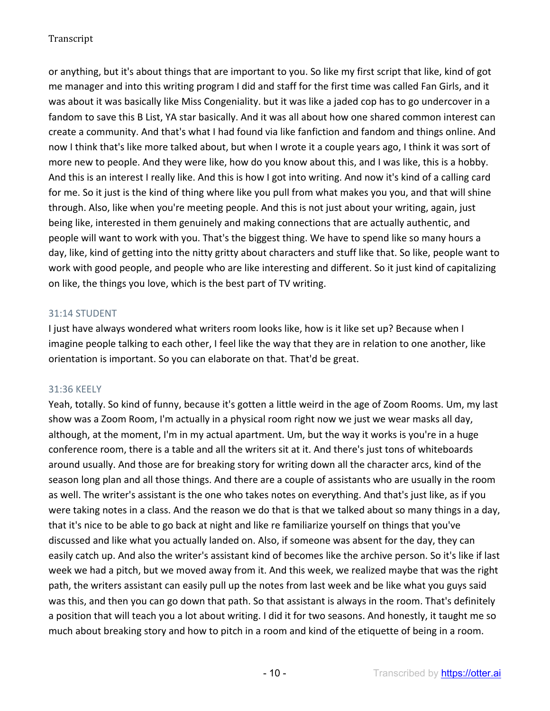or anything, but it's about things that are important to you. So like my first script that like, kind of got me manager and into this writing program I did and staff for the first time was called Fan Girls, and it was about it was basically like Miss Congeniality. but it was like a jaded cop has to go undercover in a fandom to save this B List, YA star basically. And it was all about how one shared common interest can create a community. And that's what I had found via like fanfiction and fandom and things online. And now I think that's like more talked about, but when I wrote it a couple years ago, I think it was sort of more new to people. And they were like, how do you know about this, and I was like, this is a hobby. And this is an interest I really like. And this is how I got into writing. And now it's kind of a calling card for me. So it just is the kind of thing where like you pull from what makes you you, and that will shine through. Also, like when you're meeting people. And this is not just about your writing, again, just being like, interested in them genuinely and making connections that are actually authentic, and people will want to work with you. That's the biggest thing. We have to spend like so many hours a day, like, kind of getting into the nitty gritty about characters and stuff like that. So like, people want to work with good people, and people who are like interesting and different. So it just kind of capitalizing on like, the things you love, which is the best part of TV writing.

# 31:14 STUDENT

I just have always wondered what writers room looks like, how is it like set up? Because when I imagine people talking to each other, I feel like the way that they are in relation to one another, like orientation is important. So you can elaborate on that. That'd be great.

### 31:36 KEELY

Yeah, totally. So kind of funny, because it's gotten a little weird in the age of Zoom Rooms. Um, my last show was a Zoom Room, I'm actually in a physical room right now we just we wear masks all day, although, at the moment, I'm in my actual apartment. Um, but the way it works is you're in a huge conference room, there is a table and all the writers sit at it. And there's just tons of whiteboards around usually. And those are for breaking story for writing down all the character arcs, kind of the season long plan and all those things. And there are a couple of assistants who are usually in the room as well. The writer's assistant is the one who takes notes on everything. And that's just like, as if you were taking notes in a class. And the reason we do that is that we talked about so many things in a day, that it's nice to be able to go back at night and like re familiarize yourself on things that you've discussed and like what you actually landed on. Also, if someone was absent for the day, they can easily catch up. And also the writer's assistant kind of becomes like the archive person. So it's like if last week we had a pitch, but we moved away from it. And this week, we realized maybe that was the right path, the writers assistant can easily pull up the notes from last week and be like what you guys said was this, and then you can go down that path. So that assistant is always in the room. That's definitely a position that will teach you a lot about writing. I did it for two seasons. And honestly, it taught me so much about breaking story and how to pitch in a room and kind of the etiquette of being in a room.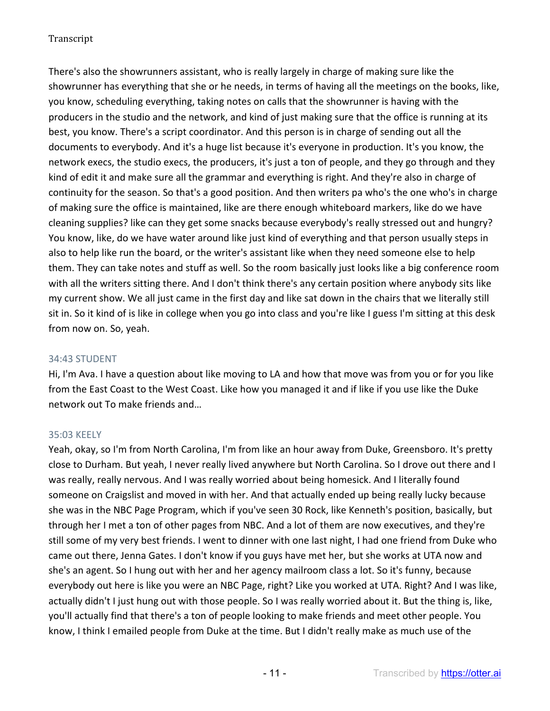There's also the showrunners assistant, who is really largely in charge of making sure like the showrunner has everything that she or he needs, in terms of having all the meetings on the books, like, you know, scheduling everything, taking notes on calls that the showrunner is having with the producers in the studio and the network, and kind of just making sure that the office is running at its best, you know. There's a script coordinator. And this person is in charge of sending out all the documents to everybody. And it's a huge list because it's everyone in production. It's you know, the network execs, the studio execs, the producers, it's just a ton of people, and they go through and they kind of edit it and make sure all the grammar and everything is right. And they're also in charge of continuity for the season. So that's a good position. And then writers pa who's the one who's in charge of making sure the office is maintained, like are there enough whiteboard markers, like do we have cleaning supplies? like can they get some snacks because everybody's really stressed out and hungry? You know, like, do we have water around like just kind of everything and that person usually steps in also to help like run the board, or the writer's assistant like when they need someone else to help them. They can take notes and stuff as well. So the room basically just looks like a big conference room with all the writers sitting there. And I don't think there's any certain position where anybody sits like my current show. We all just came in the first day and like sat down in the chairs that we literally still sit in. So it kind of is like in college when you go into class and you're like I guess I'm sitting at this desk from now on. So, yeah.

### 34:43 STUDENT

Hi, I'm Ava. I have a question about like moving to LA and how that move was from you or for you like from the East Coast to the West Coast. Like how you managed it and if like if you use like the Duke network out To make friends and…

### 35:03 KEELY

Yeah, okay, so I'm from North Carolina, I'm from like an hour away from Duke, Greensboro. It's pretty close to Durham. But yeah, I never really lived anywhere but North Carolina. So I drove out there and I was really, really nervous. And I was really worried about being homesick. And I literally found someone on Craigslist and moved in with her. And that actually ended up being really lucky because she was in the NBC Page Program, which if you've seen 30 Rock, like Kenneth's position, basically, but through her I met a ton of other pages from NBC. And a lot of them are now executives, and they're still some of my very best friends. I went to dinner with one last night, I had one friend from Duke who came out there, Jenna Gates. I don't know if you guys have met her, but she works at UTA now and she's an agent. So I hung out with her and her agency mailroom class a lot. So it's funny, because everybody out here is like you were an NBC Page, right? Like you worked at UTA. Right? And I was like, actually didn't I just hung out with those people. So I was really worried about it. But the thing is, like, you'll actually find that there's a ton of people looking to make friends and meet other people. You know, I think I emailed people from Duke at the time. But I didn't really make as much use of the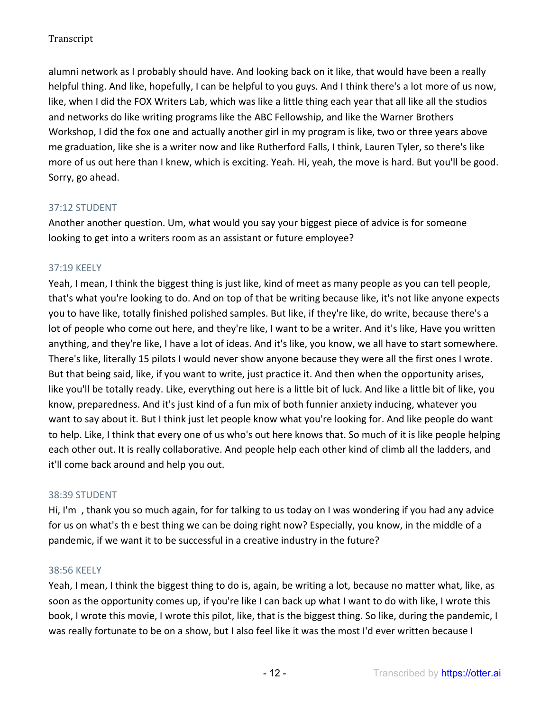alumni network as I probably should have. And looking back on it like, that would have been a really helpful thing. And like, hopefully, I can be helpful to you guys. And I think there's a lot more of us now, like, when I did the FOX Writers Lab, which was like a little thing each year that all like all the studios and networks do like writing programs like the ABC Fellowship, and like the Warner Brothers Workshop, I did the fox one and actually another girl in my program is like, two or three years above me graduation, like she is a writer now and like Rutherford Falls, I think, Lauren Tyler, so there's like more of us out here than I knew, which is exciting. Yeah. Hi, yeah, the move is hard. But you'll be good. Sorry, go ahead.

# 37:12 STUDENT

Another another question. Um, what would you say your biggest piece of advice is for someone looking to get into a writers room as an assistant or future employee?

# 37:19 KEELY

Yeah, I mean, I think the biggest thing is just like, kind of meet as many people as you can tell people, that's what you're looking to do. And on top of that be writing because like, it's not like anyone expects you to have like, totally finished polished samples. But like, if they're like, do write, because there's a lot of people who come out here, and they're like, I want to be a writer. And it's like, Have you written anything, and they're like, I have a lot of ideas. And it's like, you know, we all have to start somewhere. There's like, literally 15 pilots I would never show anyone because they were all the first ones I wrote. But that being said, like, if you want to write, just practice it. And then when the opportunity arises, like you'll be totally ready. Like, everything out here is a little bit of luck. And like a little bit of like, you know, preparedness. And it's just kind of a fun mix of both funnier anxiety inducing, whatever you want to say about it. But I think just let people know what you're looking for. And like people do want to help. Like, I think that every one of us who's out here knows that. So much of it is like people helping each other out. It is really collaborative. And people help each other kind of climb all the ladders, and it'll come back around and help you out.

### 38:39 STUDENT

Hi, I'm , thank you so much again, for for talking to us today on I was wondering if you had any advice for us on what's th e best thing we can be doing right now? Especially, you know, in the middle of a pandemic, if we want it to be successful in a creative industry in the future?

### 38:56 KEELY

Yeah, I mean, I think the biggest thing to do is, again, be writing a lot, because no matter what, like, as soon as the opportunity comes up, if you're like I can back up what I want to do with like, I wrote this book, I wrote this movie, I wrote this pilot, like, that is the biggest thing. So like, during the pandemic, I was really fortunate to be on a show, but I also feel like it was the most I'd ever written because I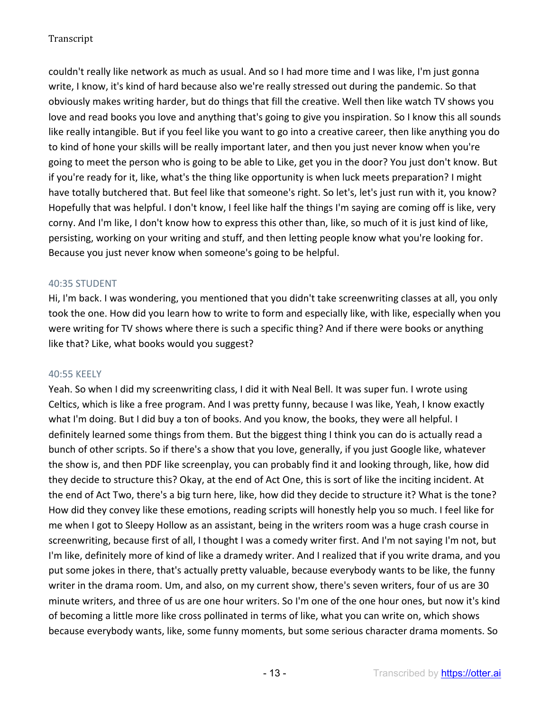couldn't really like network as much as usual. And so I had more time and I was like, I'm just gonna write, I know, it's kind of hard because also we're really stressed out during the pandemic. So that obviously makes writing harder, but do things that fill the creative. Well then like watch TV shows you love and read books you love and anything that's going to give you inspiration. So I know this all sounds like really intangible. But if you feel like you want to go into a creative career, then like anything you do to kind of hone your skills will be really important later, and then you just never know when you're going to meet the person who is going to be able to Like, get you in the door? You just don't know. But if you're ready for it, like, what's the thing like opportunity is when luck meets preparation? I might have totally butchered that. But feel like that someone's right. So let's, let's just run with it, you know? Hopefully that was helpful. I don't know, I feel like half the things I'm saying are coming off is like, very corny. And I'm like, I don't know how to express this other than, like, so much of it is just kind of like, persisting, working on your writing and stuff, and then letting people know what you're looking for. Because you just never know when someone's going to be helpful.

# 40:35 STUDENT

Hi, I'm back. I was wondering, you mentioned that you didn't take screenwriting classes at all, you only took the one. How did you learn how to write to form and especially like, with like, especially when you were writing for TV shows where there is such a specific thing? And if there were books or anything like that? Like, what books would you suggest?

### 40:55 KEELY

Yeah. So when I did my screenwriting class, I did it with Neal Bell. It was super fun. I wrote using Celtics, which is like a free program. And I was pretty funny, because I was like, Yeah, I know exactly what I'm doing. But I did buy a ton of books. And you know, the books, they were all helpful. I definitely learned some things from them. But the biggest thing I think you can do is actually read a bunch of other scripts. So if there's a show that you love, generally, if you just Google like, whatever the show is, and then PDF like screenplay, you can probably find it and looking through, like, how did they decide to structure this? Okay, at the end of Act One, this is sort of like the inciting incident. At the end of Act Two, there's a big turn here, like, how did they decide to structure it? What is the tone? How did they convey like these emotions, reading scripts will honestly help you so much. I feel like for me when I got to Sleepy Hollow as an assistant, being in the writers room was a huge crash course in screenwriting, because first of all, I thought I was a comedy writer first. And I'm not saying I'm not, but I'm like, definitely more of kind of like a dramedy writer. And I realized that if you write drama, and you put some jokes in there, that's actually pretty valuable, because everybody wants to be like, the funny writer in the drama room. Um, and also, on my current show, there's seven writers, four of us are 30 minute writers, and three of us are one hour writers. So I'm one of the one hour ones, but now it's kind of becoming a little more like cross pollinated in terms of like, what you can write on, which shows because everybody wants, like, some funny moments, but some serious character drama moments. So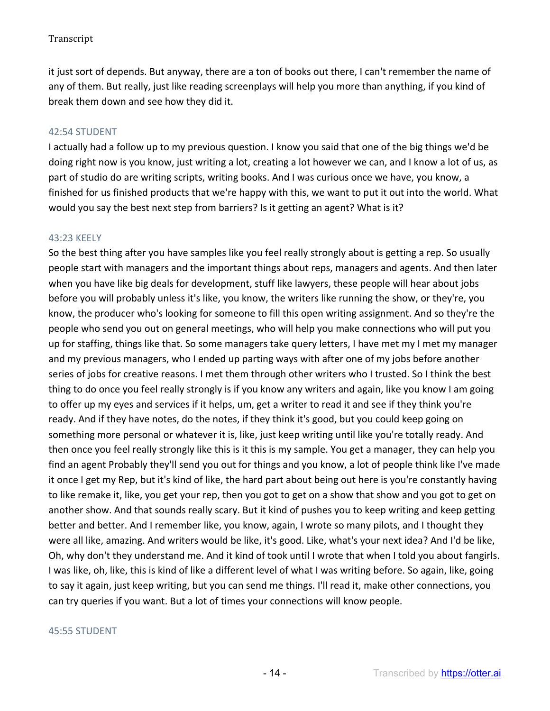it just sort of depends. But anyway, there are a ton of books out there, I can't remember the name of any of them. But really, just like reading screenplays will help you more than anything, if you kind of break them down and see how they did it.

# 42:54 STUDENT

I actually had a follow up to my previous question. I know you said that one of the big things we'd be doing right now is you know, just writing a lot, creating a lot however we can, and I know a lot of us, as part of studio do are writing scripts, writing books. And I was curious once we have, you know, a finished for us finished products that we're happy with this, we want to put it out into the world. What would you say the best next step from barriers? Is it getting an agent? What is it?

# 43:23 KEELY

So the best thing after you have samples like you feel really strongly about is getting a rep. So usually people start with managers and the important things about reps, managers and agents. And then later when you have like big deals for development, stuff like lawyers, these people will hear about jobs before you will probably unless it's like, you know, the writers like running the show, or they're, you know, the producer who's looking for someone to fill this open writing assignment. And so they're the people who send you out on general meetings, who will help you make connections who will put you up for staffing, things like that. So some managers take query letters, I have met my I met my manager and my previous managers, who I ended up parting ways with after one of my jobs before another series of jobs for creative reasons. I met them through other writers who I trusted. So I think the best thing to do once you feel really strongly is if you know any writers and again, like you know I am going to offer up my eyes and services if it helps, um, get a writer to read it and see if they think you're ready. And if they have notes, do the notes, if they think it's good, but you could keep going on something more personal or whatever it is, like, just keep writing until like you're totally ready. And then once you feel really strongly like this is it this is my sample. You get a manager, they can help you find an agent Probably they'll send you out for things and you know, a lot of people think like I've made it once I get my Rep, but it's kind of like, the hard part about being out here is you're constantly having to like remake it, like, you get your rep, then you got to get on a show that show and you got to get on another show. And that sounds really scary. But it kind of pushes you to keep writing and keep getting better and better. And I remember like, you know, again, I wrote so many pilots, and I thought they were all like, amazing. And writers would be like, it's good. Like, what's your next idea? And I'd be like, Oh, why don't they understand me. And it kind of took until I wrote that when I told you about fangirls. I was like, oh, like, this is kind of like a different level of what I was writing before. So again, like, going to say it again, just keep writing, but you can send me things. I'll read it, make other connections, you can try queries if you want. But a lot of times your connections will know people.

### 45:55 STUDENT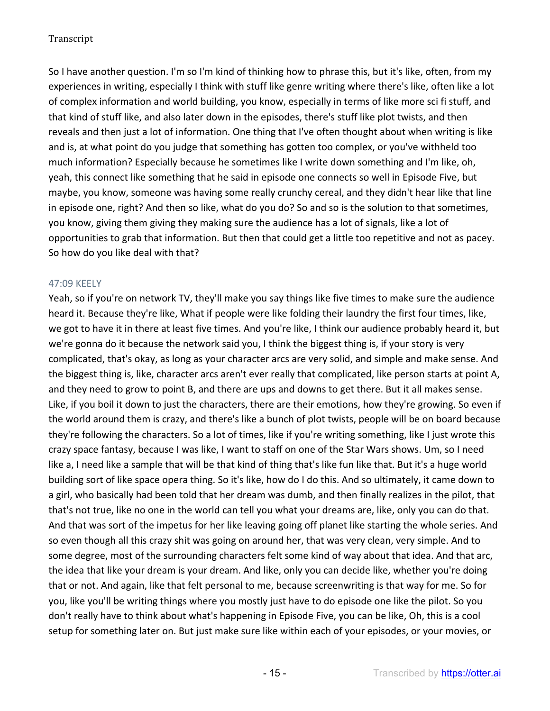So I have another question. I'm so I'm kind of thinking how to phrase this, but it's like, often, from my experiences in writing, especially I think with stuff like genre writing where there's like, often like a lot of complex information and world building, you know, especially in terms of like more sci fi stuff, and that kind of stuff like, and also later down in the episodes, there's stuff like plot twists, and then reveals and then just a lot of information. One thing that I've often thought about when writing is like and is, at what point do you judge that something has gotten too complex, or you've withheld too much information? Especially because he sometimes like I write down something and I'm like, oh, yeah, this connect like something that he said in episode one connects so well in Episode Five, but maybe, you know, someone was having some really crunchy cereal, and they didn't hear like that line in episode one, right? And then so like, what do you do? So and so is the solution to that sometimes, you know, giving them giving they making sure the audience has a lot of signals, like a lot of opportunities to grab that information. But then that could get a little too repetitive and not as pacey. So how do you like deal with that?

# 47:09 KEELY

Yeah, so if you're on network TV, they'll make you say things like five times to make sure the audience heard it. Because they're like, What if people were like folding their laundry the first four times, like, we got to have it in there at least five times. And you're like, I think our audience probably heard it, but we're gonna do it because the network said you, I think the biggest thing is, if your story is very complicated, that's okay, as long as your character arcs are very solid, and simple and make sense. And the biggest thing is, like, character arcs aren't ever really that complicated, like person starts at point A, and they need to grow to point B, and there are ups and downs to get there. But it all makes sense. Like, if you boil it down to just the characters, there are their emotions, how they're growing. So even if the world around them is crazy, and there's like a bunch of plot twists, people will be on board because they're following the characters. So a lot of times, like if you're writing something, like I just wrote this crazy space fantasy, because I was like, I want to staff on one of the Star Wars shows. Um, so I need like a, I need like a sample that will be that kind of thing that's like fun like that. But it's a huge world building sort of like space opera thing. So it's like, how do I do this. And so ultimately, it came down to a girl, who basically had been told that her dream was dumb, and then finally realizes in the pilot, that that's not true, like no one in the world can tell you what your dreams are, like, only you can do that. And that was sort of the impetus for her like leaving going off planet like starting the whole series. And so even though all this crazy shit was going on around her, that was very clean, very simple. And to some degree, most of the surrounding characters felt some kind of way about that idea. And that arc, the idea that like your dream is your dream. And like, only you can decide like, whether you're doing that or not. And again, like that felt personal to me, because screenwriting is that way for me. So for you, like you'll be writing things where you mostly just have to do episode one like the pilot. So you don't really have to think about what's happening in Episode Five, you can be like, Oh, this is a cool setup for something later on. But just make sure like within each of your episodes, or your movies, or